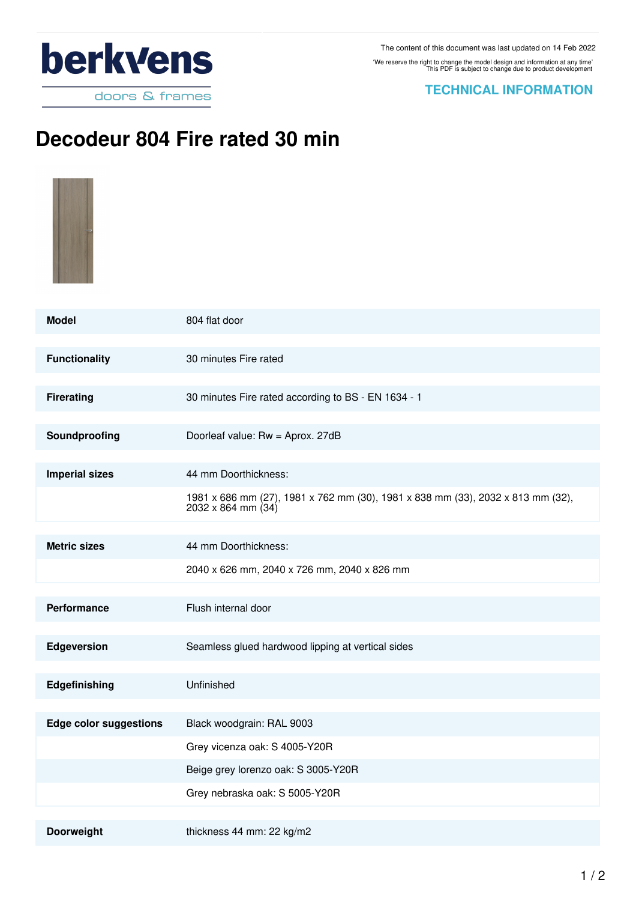

## **TECHNICAL INFORMATION**

## **Decodeur 804 Fire rated 30 min**

| <b>Model</b>                  | 804 flat door                                                                                                  |
|-------------------------------|----------------------------------------------------------------------------------------------------------------|
| <b>Functionality</b>          | 30 minutes Fire rated                                                                                          |
| <b>Firerating</b>             | 30 minutes Fire rated according to BS - EN 1634 - 1                                                            |
| Soundproofing                 | Doorleaf value: Rw = Aprox. 27dB                                                                               |
| <b>Imperial sizes</b>         | 44 mm Doorthickness:                                                                                           |
|                               | 1981 x 686 mm (27), 1981 x 762 mm (30), 1981 x 838 mm (33), 2032 x 813 mm (32),<br>$2032 \times 864$ mm $(34)$ |
| <b>Metric sizes</b>           | 44 mm Doorthickness:                                                                                           |
|                               | 2040 x 626 mm, 2040 x 726 mm, 2040 x 826 mm                                                                    |
| Performance                   | Flush internal door                                                                                            |
| Edgeversion                   | Seamless glued hardwood lipping at vertical sides                                                              |
| Edgefinishing                 | Unfinished                                                                                                     |
| <b>Edge color suggestions</b> | Black woodgrain: RAL 9003                                                                                      |
|                               | Grey vicenza oak: S 4005-Y20R                                                                                  |
|                               | Beige grey lorenzo oak: S 3005-Y20R                                                                            |
|                               | Grey nebraska oak: S 5005-Y20R                                                                                 |
| Doorweight                    | thickness 44 mm: 22 kg/m2                                                                                      |